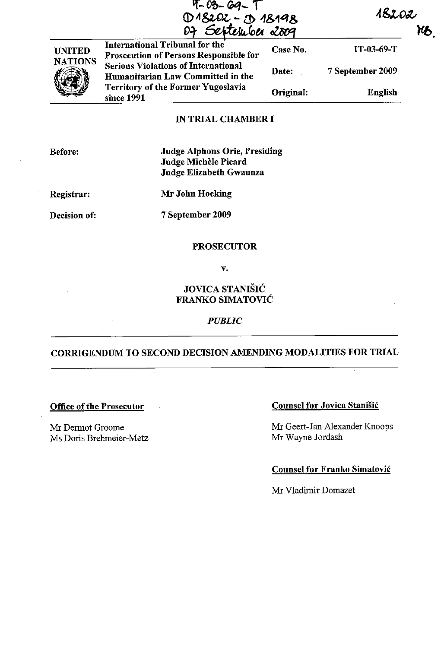| $9 - 03 - 69 - 1$<br>$0.18202 - 0.18198$<br>07 September 2009 |  | 18202 |
|---------------------------------------------------------------|--|-------|
|                                                               |  |       |

**NB** 



**Internationa** Prosecution of Persons Responsible for **Serious Violations of International** Humanitarian Law Committed in the Territory of the Former Yugoslavia since 1991 Case No. Date: Original: IT-03-69-T 7 September 2009 English

#### IN TRIAL CHAMBER I

Before:

Judge Alphons Orie, Presiding Judge Michele Picard Judge Elizabeth Gwaunza

Registrar:

Mr John Hocking

Decision of:

7 September 2009

#### PROSECUTOR

v.

### JOVICA STANISIC FRANKO SIMATOVIC

*PUBLIC* 

## CORRIGENDUM TO SECOND DECISION AMENDING MODALITIES FOR TRIAL

#### Office of the Prosecutor

Mr Dermot Groome Ms Doris Brehrneier-Metz

## Counsel for Jovica Stanišić

Mr Geert-Jan Alexander Knoops Mr Wayne Jordash

## Counsel for Franko Simatovic

Mr Vladimir Domazet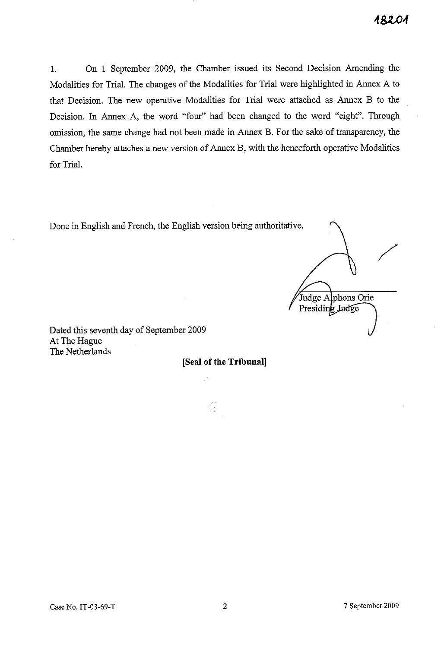# 122.01

1. On 1 September 2009, the Chamber issued its Second Decision Amending the Modalities for Trial. The changes of the Modalities for Trial were highlighted in Annex A to that Decision. The new operative Modalities for Trial were attached as Annex B to the Decision. **In** Annex A, the word "four" had been changed to the word "eight". Through omission, the same change had not been made in Annex B. For the sake of transparency, the Chamber hereby attaches a new version of Annex B, with the henceforth operative Modalities for Trial.

Done in English and French, the English version being authoritative.

/ Judge Alphons Orie Presiding Judge

Dated this seventh day of September 2009 At The Hague The Netherlands

**[Seal of the Tribunal]** 

Ìл.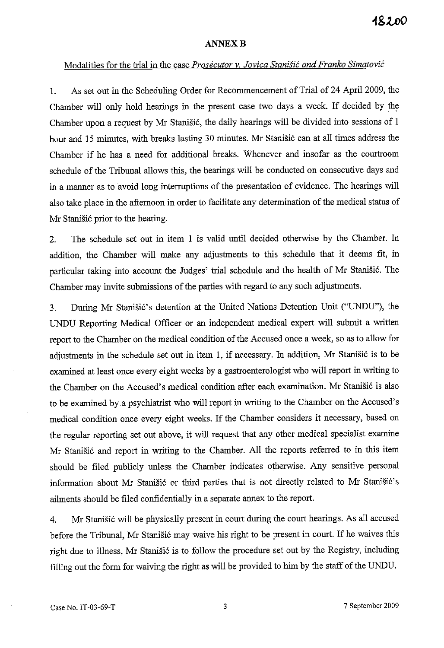#### **ANNEX B**

### Modalities for the trial in the case *Prosecutor* v. *Jovica Stanisic and Franko Simatovic*

1. As set out in the Scheduling Order for Recommencement of Trial of 24 April 2009, the Chamber will only hold hearings in the present case two days a week. If decided by the Chamber upon a request by Mr Stanišić, the daily hearings will be divided into sessions of 1 hour and 15 minutes, with breaks lasting 30 minutes. Mr Stanišić can at all times address the Chamber if he has a need for additional breaks. Whenever and insofar as the courtroom schedule of the Tribunal allows this, the hearings will be conducted on consecutive days and in a manner as to avoid long interruptions of the presentation of evidence. The hearings will also take place in the afternoon in order to facilitate any determination of the medical status of Mr Stanišić prior to the hearing.

2. The schedule set out in item 1 is valid until decided otherwise by the Chamber. In addition, the Chamber will make any adjustments to this schedule that it deems fit, in particular taking into account the Judges' trial schedule and the health of Mr Stanišić. The Chamber may invite submissions of the parties with regard to any such adjustments.

3. During Mr Stanišić's detention at the United Nations Detention Unit ("UNDU"), the UNDU Reporting Medical Officer or an independent medical expert will submit a written report to the Chamber on the medical condition of the Accused once a week, so as to allow for adjustments in the schedule set out in item 1, if necessary. In addition, Mr Stanišić is to be examined at least once every eight weeks by a gastroenterologist who will report in writing to the Chamber on the Accused's medical condition after each examination. Mr Stanišić is also to be examined by a psychiatrist who will report in writing to the Chamber on the Accused's medical condition once every eight weeks. If the Chamber considers it necessary, based on the regular reporting set out above, it will request that any other medical specialist examine Mr Stanišić and report in writing to the Chamber. All the reports referred to in this item should be filed publicly unless the Chamber indicates otherwise. Any sensitive personal information about Mr Stanišić or third parties that is not directly related to Mr Stanišić's aihnents should be filed confidentially in a separate annex to the report.

4. Mr Stanišić will be physically present in court during the court hearings. As all accused before the Tribunal, Mr Stanišić may waive his right to be present in court. If he waives this right due to illness, Mr Stanišić is to follow the procedure set out by the Registry, including filling out the form for waiving the right as will be provided to him by the staff of the UNDU.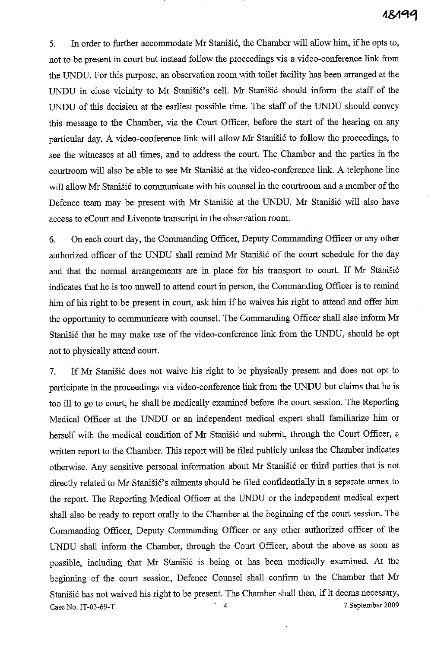5. In order to further accommodate Mr Stanišić, the Chamber will allow him, if he opts to, not to be present in court but instead follow the proceedings via a video-conference link from the UNDU. For this purpose, an observation room with toilet facility has been arranged at the UNDU in close vicinity to Mr Stanišić's cell. Mr Stanišić should inform the staff of the UNDU of this decision at the earliest possible time. The staff of the UNDU should convey this message to the Chamber, via the Court Officer, before the start of the hearing on any particular day. A video-conference link will allow Mr Stanišić to follow the proceedings, to see the witnesses at all times, and to address the court. The Chamber and the parties in the courtroom will also be able to see Mr Stanišić at the video-conference link. A telephone line will allow Mr Stanišić to communicate with his counsel in the courtroom and a member of the Defence team may be present with Mr Stanišić at the UNDU. Mr Stanišić will also have access to eCourt and Livenote transcript in the observation room.

6. On each court day, the Commanding Officer, Deputy Commanding Officer or any other authorized officer of the UNDU shall remind Mr Stanišić of the court schedule for the day and that the normal arrangements are in place for his transport to court. If Mr Stanišić indicates that he is too unwell to attend court in person, the Commanding Officer is to remind him of his right to be present in court, ask him if he waives his right to attend and offer him the opportunity to communicate with counsel. The Commanding Officer shall also inform Mr Stanišić that he may make use of the video-conference link from the UNDU, should he opt not to physically attend court.

7. If Mr Stanišić does not waive his right to be physically present and does not opt to participate in the proceedings via video-conference link from the UNDU but claims that he is too ill to go to court, he shall be medically examined before the court session. The Reporting Medical Officer at the UNDU or an independent medical expert shall familiarize him or herself with the medical condition of Mr Stanišić and submit, through the Court Officer, a written report to the Chamber. This report will be filed publicly unless the Chamber indicates otherwise. Any sensitive personal information about Mr Stanišić or third parties that is not directly related to Mr Stanišić's ailments should be filed confidentially in a separate annex to the report. The Reporting Medical Officer at the UNDU or the independent medical expert shall also be ready to report orally to the Chamber at the beginning of the court session. The Commanding Officer, Deputy Commanding Officer or any other authorized officer of the UNDU shall inform the Chamber, through the Court Officer, about the above as soon as possible, including that Mr Stanišić is being or has been medically examined. At the beginning of the court session, Defence Counsel shall confirm to the Chamber that Mr Stanišić has not waived his right to be present. The Chamber shall then, if it deems necessary, Case No. IT-03-69-T . 2009